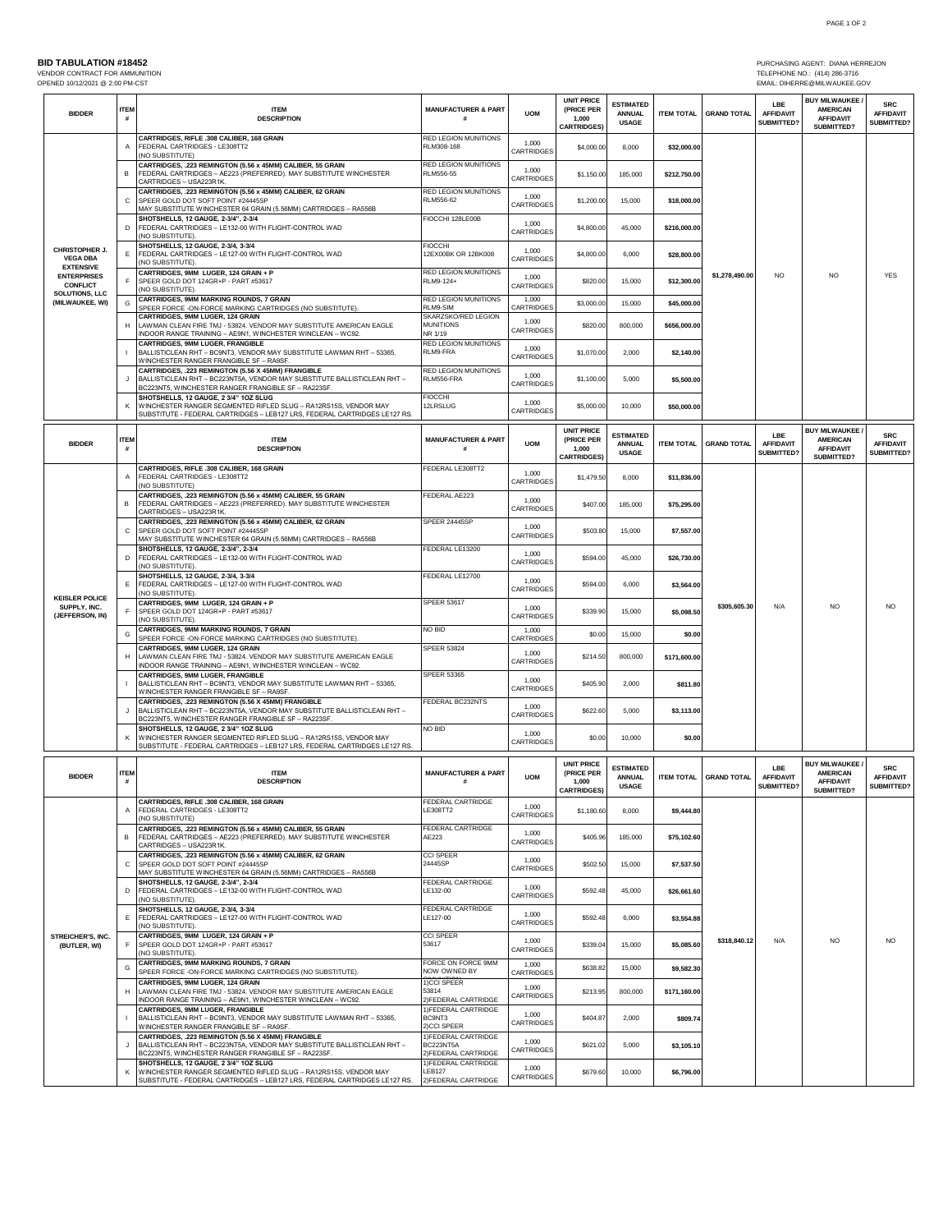PURCHASING AGENT: DIANA HERREJON<br>TELEPHONE NO.: (414) 286-3716<br>EMAIL: DIHERRE@MILWAUKEE.GOV

| OPENED 10/12/2021 @ 2:00 PM-CST                                                                                                            |                  | VENDOR CONTRACT FOR AMMUNITION                                                                                                                                                         |                                                               |                            |                                                                |                                                   |                   |                    |                                              | TELEPHONE NO.: (414) 286-3716<br>EMAIL: DIHERRE@MILWAUKEE.GOV               |                                              |
|--------------------------------------------------------------------------------------------------------------------------------------------|------------------|----------------------------------------------------------------------------------------------------------------------------------------------------------------------------------------|---------------------------------------------------------------|----------------------------|----------------------------------------------------------------|---------------------------------------------------|-------------------|--------------------|----------------------------------------------|-----------------------------------------------------------------------------|----------------------------------------------|
| <b>BIDDER</b>                                                                                                                              | ITEM<br>#        | <b>ITEM</b><br><b>DESCRIPTION</b>                                                                                                                                                      | <b>MANUFACTURER &amp; PART</b>                                | <b>UOM</b>                 | <b>UNIT PRICE</b><br>(PRICE PER<br>1.000<br><b>CARTRIDGES)</b> | <b>ESTIMATED</b><br><b>ANNUAL</b><br><b>USAGE</b> | <b>ITEM TOTAL</b> | <b>GRAND TOTAL</b> | LBE<br><b>AFFIDAVIT</b><br>SUBMITTED?        | <b>BUY MILWAUKEE</b><br><b>AMERICAN</b><br><b>AFFIDAVIT</b><br>SUBMITTED?   | <b>SRC</b><br><b>AFFIDAVIT</b><br>SUBMITTED? |
| CHRISTOPHER J.<br><b>VEGA DBA</b><br><b>EXTENSIVE</b><br><b>ENTERPRISES</b><br><b>CONFLICT</b><br><b>SOLUTIONS, LLC</b><br>(MILWAUKEE, WI) | Α                | CARTRIDGES, RIFLE .308 CALIBER, 168 GRAIN<br>FEDERAL CARTRIDGES - LE308TT2<br>NO SUBSTITUTE)                                                                                           | RED LEGION MUNITIONS<br>RLM308-168                            | 1,000<br>CARTRIDGES        | \$4,000.00                                                     | 8,000                                             | \$32,000.00       |                    |                                              |                                                                             |                                              |
|                                                                                                                                            | в                | CARTRIDGES, .223 REMINGTON (5.56 x 45MM) CALIBER, 55 GRAIN<br>FEDERAL CARTRIDGES - AE223 (PREFERRED), MAY SUBSTITUTE WINCHESTER                                                        | RED LEGION MUNITIONS<br><b>RLM556-55</b>                      | 1,000<br>CARTRIDGES        | \$1,150.00                                                     | 185,000                                           | \$212,750.00      |                    |                                              |                                                                             |                                              |
|                                                                                                                                            | C                | CARTRIDGES - USA223R1K.<br>CARTRIDGES, .223 REMINGTON (5.56 x 45MM) CALIBER, 62 GRAIN<br>SPEER GOLD DOT SOFT POINT #24445SP                                                            | RED LEGION MUNITIONS<br>RLM556-62                             | 1.000<br>CARTRIDGES        | \$1,200.00                                                     | 15,000                                            | \$18,000.00       |                    |                                              |                                                                             |                                              |
|                                                                                                                                            | D                | MAY SUBSTITUTE WINCHESTER 64 GRAIN (5.56MM) CARTRIDGES - RA556B<br>SHOTSHELLS, 12 GAUGE, 2-3/4", 2-3/4<br>FEDERAL CARTRIDGES - LE132-00 WITH FLIGHT-CONTROL WAD                        | FIOCCHI 128LE00B                                              | 1,000<br>CARTRIDGES        | \$4,800.00                                                     | 45,000                                            | \$216,000.00      |                    |                                              |                                                                             |                                              |
|                                                                                                                                            | Е                | NO SUBSTITUTE)<br>SHOTSHELLS, 12 GAUGE, 2-3/4, 3-3/4<br>FEDERAL CARTRIDGES - LE127-00 WITH FLIGHT-CONTROL WAD                                                                          | <b>FIOCCHI</b><br>12EX00BK OR 12BK008                         | 1.000<br>CARTRIDGES        | \$4,800.00                                                     | 6,000                                             | \$28,800.00       |                    |                                              |                                                                             |                                              |
|                                                                                                                                            |                  | NO SUBSTITUTE)<br>CARTRIDGES, 9MM LUGER, 124 GRAIN + P<br>SPEER GOLD DOT 124GR+P - PART #53617                                                                                         | RED LEGION MUNITIONS<br>RLM9-124+                             | 1,000<br>CARTRIDGES        | \$820.00                                                       | 15,000                                            | \$12,300.00       | \$1,278,490.00     | N <sub>O</sub>                               | N <sub>O</sub>                                                              | <b>YES</b>                                   |
|                                                                                                                                            | G                | NO SUBSTITUTE)<br>CARTRIDGES, 9MM MARKING ROUNDS, 7 GRAIN<br>SPEER FORCE -ON-FORCE MARKING CARTRIDGES (NO SUBSTITUTE)                                                                  | RED LEGION MUNITIONS<br>RLM9-SIM                              | 1,000<br>CARTRIDGES        | \$3,000.00                                                     | 15,000                                            | \$45,000.00       |                    |                                              |                                                                             |                                              |
|                                                                                                                                            | H                | CARTRIDGES, 9MM LUGER, 124 GRAIN<br>LAWMAN CLEAN FIRE TMJ - 53824. VENDOR MAY SUBSTITUTE AMERICAN EAGLE                                                                                | SKARZSKO/RED LEGION<br><b>MUNITIONS</b>                       | 1,000<br>CARTRIDGES        | \$820.00                                                       | 800,000                                           | \$656,000.00      |                    |                                              |                                                                             |                                              |
|                                                                                                                                            |                  | INDOOR RANGE TRAINING - AE9N1, WINCHESTER WINCLEAN - WC92.<br>CARTRIDGES, 9MM LUGER, FRANGIBLE<br>BALLISTICLEAN RHT - BC9NT3, VENDOR MAY SUBSTITUTE LAWMAN RHT - 53365,                | NR 1/19<br>RED LEGION MUNITIONS<br>RLM9-FRA                   | 1,000<br>CARTRIDGES        | \$1,070.00                                                     | 2,000                                             | \$2,140.00        |                    |                                              |                                                                             |                                              |
|                                                                                                                                            | J                | WINCHESTER RANGER FRANGIBLE SF - RA9SF.<br>CARTRIDGES, .223 REMINGTON (5.56 X 45MM) FRANGIBLE<br>BALLISTICLEAN RHT - BC223NT5A, VENDOR MAY SUBSTITUTE BALLISTICLEAN RHT -              | RED LEGION MUNITIONS<br>RLM556-FRA                            | 1,000<br>CARTRIDGES        | \$1,100.00                                                     | 5,000                                             | \$5,500.00        |                    |                                              |                                                                             |                                              |
|                                                                                                                                            | κ                | 3C223NT5, WINCHESTER RANGER FRANGIBLE SF - RA223SF.<br>SHOTSHELLS, 12 GAUGE, 2 3/4" 1OZ SLUG<br>WINCHESTER RANGER SEGMENTED RIFLED SLUG - RA12RS15S, VENDOR MAY                        | <b>FIOCCHI</b><br>12LRSLUG                                    | 1.000<br>CARTRIDGES        | \$5,000.00                                                     | 10,000                                            | \$50,000.00       |                    |                                              |                                                                             |                                              |
| <b>BIDDER</b>                                                                                                                              | <b>ITEM</b><br># | SUBSTITUTE - FEDERAL CARTRIDGES - LEB127 LRS, FEDERAL CARTRIDGES LE127 RS<br><b>ITEM</b><br><b>DESCRIPTION</b>                                                                         | <b>MANUFACTURER &amp; PART</b><br>#                           | <b>UOM</b>                 | <b>UNIT PRICE</b><br>(PRICE PER<br>1,000<br><b>CARTRIDGES)</b> | <b>ESTIMATED</b><br><b>ANNUAL</b><br><b>USAGE</b> | <b>ITEM TOTAL</b> | <b>GRAND TOTAL</b> | LBE<br><b>AFFIDAVIT</b><br><b>SUBMITTED?</b> | <b>BUY MILWAUKEE /</b><br><b>AMERICAN</b><br><b>AFFIDAVIT</b><br>SUBMITTED? | <b>SRC</b><br><b>AFFIDAVIT</b><br>SUBMITTED? |
|                                                                                                                                            | $\overline{A}$   | CARTRIDGES, RIFLE .308 CALIBER, 168 GRAIN<br>FEDERAL CARTRIDGES - LE308TT2<br>NO SUBSTITUTE)                                                                                           | FEDERAL LE308TT2                                              | 1,000<br>CARTRIDGES        | \$1,479.50                                                     | 8.000                                             | \$11,836.00       |                    |                                              |                                                                             |                                              |
| <b>KEISLER POLICE</b><br>SUPPLY, INC.<br>(JEFFERSON, IN)                                                                                   | в                | CARTRIDGES. .223 REMINGTON (5.56 x 45MM) CALIBER. 55 GRAIN<br>FEDERAL CARTRIDGES - AE223 (PREFERRED). MAY SUBSTITUTE WINCHESTER<br>CARTRIDGES - USA223R1K.                             | FEDERAL AE223                                                 | 1,000<br>CARTRIDGES        | \$407.00                                                       | 185,000                                           | \$75,295.00       |                    |                                              |                                                                             |                                              |
|                                                                                                                                            | c                | CARTRIDGES, .223 REMINGTON (5.56 x 45MM) CALIBER, 62 GRAIN<br>SPEER GOLD DOT SOFT POINT #24445SP<br>MAY SUBSTITUTE WINCHESTER 64 GRAIN (5.56MM) CARTRIDGES - RA556B                    | SPFFR 24445SP                                                 | 1,000<br>CARTRIDGES        | \$503.80                                                       | 15,000                                            | \$7,557.00        |                    |                                              |                                                                             |                                              |
|                                                                                                                                            | D                | SHOTSHELLS, 12 GAUGE, 2-3/4", 2-3/4<br>FEDERAL CARTRIDGES - LE132-00 WITH FLIGHT-CONTROL WAD<br>NO SUBSTITUTE).                                                                        | FEDERAL LE13200                                               | 1,000<br>CARTRIDGES        | \$594.00                                                       | 45,000                                            | \$26,730.00       |                    |                                              |                                                                             |                                              |
|                                                                                                                                            | Е                | SHOTSHELLS, 12 GAUGE, 2-3/4, 3-3/4<br>FEDERAL CARTRIDGES - LE127-00 WITH FLIGHT-CONTROL WAD<br>NO SUBSTITUTE)                                                                          | FEDERAL LE12700                                               | 1,000<br>CARTRIDGES        | \$594.00                                                       | 6,000                                             | \$3,564.00        |                    |                                              |                                                                             |                                              |
|                                                                                                                                            | F                | CARTRIDGES, 9MM LUGER, 124 GRAIN + P<br>SPEER GOLD DOT 124GR+P - PART #53617<br>NO SUBSTITUTE)                                                                                         | <b>SPEER 53617</b>                                            | 1.000<br><b>CARTRIDGES</b> | \$339.90                                                       | 15,000                                            | \$5,098.50        | \$305,605.30       | N/A                                          | NO                                                                          | NO                                           |
|                                                                                                                                            | G                | CARTRIDGES, 9MM MARKING ROUNDS, 7 GRAIN<br>SPEER FORCE -ON-FORCE MARKING CARTRIDGES (NO SUBSTITUTE)                                                                                    | NO BID                                                        | 1.000<br>CARTRIDGES        | \$0.00                                                         | 15,000                                            | \$0.00            |                    |                                              |                                                                             |                                              |
|                                                                                                                                            | H                | CARTRIDGES, 9MM LUGER, 124 GRAIN<br>LAWMAN CLEAN FIRE TMJ - 53824. VENDOR MAY SUBSTITUTE AMERICAN EAGLE<br>INDOOR RANGE TRAINING - AE9N1, WINCHESTER WINCLEAN - WC92.                  | <b>SPEER 53824</b>                                            | 1,000<br>CARTRIDGES        | \$214.50                                                       | 800,000                                           | \$171,600.00      |                    |                                              |                                                                             |                                              |
|                                                                                                                                            |                  | CARTRIDGES, 9MM LUGER, FRANGIBLE<br>BALLISTICLEAN RHT - BC9NT3, VENDOR MAY SUBSTITUTE LAWMAN RHT - 53365,<br>WINCHESTER RANGER FRANGIBLE SF - RA9SF.                                   | <b>SPEER 53365</b>                                            | 1.000<br>CARTRIDGES        | \$405.90                                                       | 2.000                                             | \$811.80          |                    |                                              |                                                                             |                                              |
|                                                                                                                                            |                  | CARTRIDGES, .223 REMINGTON (5.56 X 45MM) FRANGIBLE<br>BALLISTICLEAN RHT - BC223NT5A, VENDOR MAY SUBSTITUTE BALLISTICLEAN RHT -<br>3C223NT5, WINCHESTER RANGER FRANGIBLE SF - RA223SF   | FEDERAL BC232NTS                                              | 1,000<br>CARTRIDGES        | \$622.60                                                       | 5.000                                             | \$3,113.00        |                    |                                              |                                                                             |                                              |
|                                                                                                                                            |                  | SHOTSHELLS, 12 GAUGE, 2 3/4" 10Z SLUG<br>WINCHESTER RANGER SEGMENTED RIFLED SLUG - RA12RS15S, VENDOR MAY<br>SUBSTITUTE - FEDERAL CARTRIDGES – LEB127 LRS, FEDERAL CARTRIDGES LE127 RS. | NO BID                                                        | 1.000<br>CARTRIDGES        | \$0.00                                                         | 10,000                                            | \$0.00            |                    |                                              |                                                                             |                                              |
| <b>BIDDER</b>                                                                                                                              | ITEM<br>#        | <b>ITEN</b><br><b>DESCRIPTION</b>                                                                                                                                                      | <b>MANUFACTURER &amp; PART</b>                                | <b>UOM</b>                 | <b>UNIT PRICE</b><br>(PRICE PER<br>1,000<br><b>CARTRIDGES)</b> | <b>ESTIMATED</b><br><b>ANNUAL</b><br><b>USAGE</b> | <b>ITEM TOTAL</b> | <b>GRAND TOTAL</b> | LBE<br><b>AFFIDAVIT</b><br>SUBMITTED?        | <b>BUY MILWAUKEE /</b><br><b>AMERICAN</b><br><b>AFFIDAVIT</b><br>SUBMITTED? | <b>SRC</b><br><b>AFFIDAVIT</b><br>SUBMITTED? |
| STREICHER'S, INC.<br>(BUTLER, WI)                                                                                                          | $\overline{A}$   | CARTRIDGES, RIFLE .308 CALIBER, 168 GRAIN<br>FEDERAL CARTRIDGES - LE308TT2<br>(NO SUBSTITUTE)                                                                                          | <b>FEDERAL CARTRIDGE</b><br>LE308TT2                          | 1,000<br>CARTRIDGES        | \$1,180.60                                                     | 8,000                                             | \$9,444.80        |                    |                                              |                                                                             |                                              |
|                                                                                                                                            | в                | CARTRIDGES, .223 REMINGTON (5.56 x 45MM) CALIBER, 55 GRAIN<br>FEDERAL CARTRIDGES - AE223 (PREFERRED). MAY SUBSTITUTE WINCHESTER<br>CARTRIDGES - USA223R1K.                             | FEDERAL CARTRIDGE<br>AF223                                    | 1.000<br>CARTRIDGES        | \$405.96                                                       | 185,000                                           | \$75,102.60       |                    |                                              |                                                                             |                                              |
|                                                                                                                                            | c                | CARTRIDGES, .223 REMINGTON (5.56 x 45MM) CALIBER, 62 GRAIN<br>SPEER GOLD DOT SOFT POINT #24445SP<br>MAY SUBSTITUTE WINCHESTER 64 GRAIN (5.56MM) CARTRIDGES - RA556B                    | <b>CCI SPFFR</b><br>24445SP                                   | 1.000<br>CARTRIDGES        | \$502.50                                                       | 15,000                                            | \$7,537.50        |                    |                                              |                                                                             |                                              |
|                                                                                                                                            | D                | SHOTSHELLS, 12 GAUGE, 2-3/4", 2-3/4<br>FEDERAL CARTRIDGES - LE132-00 WITH FLIGHT-CONTROL WAD<br>(NO SUBSTITUTE).                                                                       | FEDERAL CARTRIDGE<br>LE132-00                                 | 1.000<br>CARTRIDGES        | \$592.48                                                       | 45,000                                            | \$26,661.60       |                    |                                              |                                                                             |                                              |
|                                                                                                                                            | Е                | SHOTSHELLS, 12 GAUGE, 2-3/4, 3-3/4<br>FEDERAL CARTRIDGES - LE127-00 WITH FLIGHT-CONTROL WAD<br>NO SUBSTITUTE).                                                                         | <b>FEDERAL CARTRIDGE</b><br>LE127-00                          | 1,000<br>CARTRIDGES        | \$592.48                                                       | 6,000                                             | \$3,554.88        |                    |                                              |                                                                             |                                              |
|                                                                                                                                            | F                | CARTRIDGES, 9MM LUGER, 124 GRAIN + P<br>SPEER GOLD DOT 124GR+P - PART #53617<br>NO SUBSTITUTE).                                                                                        | <b>CCI SPEER</b><br>53617                                     | 1,000<br>CARTRIDGES        | \$339.04                                                       | 15,000                                            | \$5,085.60        | \$318,840.12       | N/A                                          | N <sub>O</sub>                                                              | N <sub>O</sub>                               |
|                                                                                                                                            | G                | CARTRIDGES, 9MM MARKING ROUNDS, 7 GRAIN<br>SPEER FORCE -ON-FORCE MARKING CARTRIDGES (NO SUBSTITUTE).                                                                                   | FORCE ON FORCE 9MM<br>NOW OWNED BY                            | 1,000<br>CARTRIDGES        | \$638.82                                                       | 15,000                                            | \$9,582.30        |                    |                                              |                                                                             |                                              |
|                                                                                                                                            | H                | CARTRIDGES, 9MM LUGER, 124 GRAIN<br>LAWMAN CLEAN FIRE TMJ - 53824. VENDOR MAY SUBSTITUTE AMERICAN EAGLE<br>INDOOR RANGE TRAINING - AE9N1, WINCHESTER WINCLEAN - WC92.                  | 1)CCI SPEER<br>53814<br>2) FEDERAL CARTRIDGE                  | 1,000<br>CARTRIDGES        | \$213.95                                                       | 800,000                                           | \$171,160.00      |                    |                                              |                                                                             |                                              |
|                                                                                                                                            |                  | CARTRIDGES, 9MM LUGER, FRANGIBLE<br>BALLISTICLEAN RHT - BC9NT3, VENDOR MAY SUBSTITUTE LAWMAN RHT - 53365,<br>WINCHESTER RANGER FRANGIBLE SF - RA9SF.                                   | 1) FEDERAL CARTRIDGE<br>BC9NT3<br>2)CCI SPEER                 | 1,000<br>CARTRIDGES        | \$404.87                                                       | 2,000                                             | \$809.74          |                    |                                              |                                                                             |                                              |
|                                                                                                                                            | $\cdot$          | CARTRIDGES, .223 REMINGTON (5.56 X 45MM) FRANGIBLE<br>BALLISTICLEAN RHT - BC223NT5A, VENDOR MAY SUBSTITUTE BALLISTICLEAN RHT -<br>BC223NT5, WINCHESTER RANGER FRANGIBLE SF - RA223SF.  | 1) FEDERAL CARTRIDGE<br>BC223NT5A<br>2) FEDERAL CARTRIDGE     | 1,000<br>CARTRIDGES        | \$621.02                                                       | 5,000                                             | \$3,105.10        |                    |                                              |                                                                             |                                              |
|                                                                                                                                            | K                | SHOTSHELLS, 12 GAUGE, 2 3/4" 10Z SLUG<br>WINCHESTER RANGER SEGMENTED RIFLED SLUG - RA12RS15S, VENDOR MAY<br>SUBSTITUTE - FEDERAL CARTRIDGES - LEB127 LRS, FEDERAL CARTRIDGES LE127 RS. | 1) FEDERAL CARTRIDGE<br><b>LEB127</b><br>2) FEDERAL CARTRIDGE | 1,000<br>CARTRIDGES        | \$679.60                                                       | 10,000                                            | \$6,796.00        |                    |                                              |                                                                             |                                              |